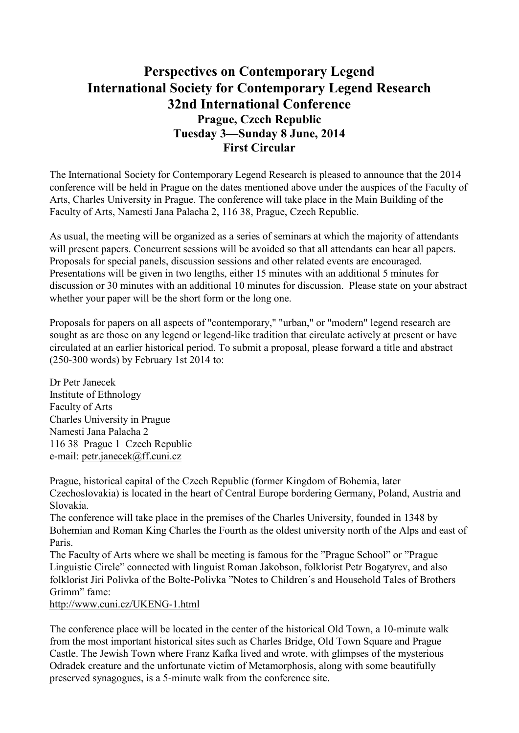## **Perspectives on Contemporary Legend International Society for Contemporary Legend Research 32nd International Conference Prague, Czech Republic Tuesday 3—Sunday 8 June, 2014 First Circular**

The International Society for Contemporary Legend Research is pleased to announce that the 2014 conference will be held in Prague on the dates mentioned above under the auspices of the Faculty of Arts, Charles University in Prague. The conference will take place in the Main Building of the Faculty of Arts, Namesti Jana Palacha 2, 116 38, Prague, Czech Republic.

As usual, the meeting will be organized as a series of seminars at which the majority of attendants will present papers. Concurrent sessions will be avoided so that all attendants can hear all papers. Proposals for special panels, discussion sessions and other related events are encouraged. Presentations will be given in two lengths, either 15 minutes with an additional 5 minutes for discussion or 30 minutes with an additional 10 minutes for discussion. Please state on your abstract whether your paper will be the short form or the long one.

Proposals for papers on all aspects of "contemporary," "urban," or "modern" legend research are sought as are those on any legend or legend-like tradition that circulate actively at present or have circulated at an earlier historical period. To submit a proposal, please forward a title and abstract (250-300 words) by February 1st 2014 to:

Dr Petr Janecek Institute of Ethnology Faculty of Arts Charles University in Prague Namesti Jana Palacha 2 116 38 Prague 1 Czech Republic e-mail: petr.janecek@ff.cuni.cz

Prague, historical capital of the Czech Republic (former Kingdom of Bohemia, later Czechoslovakia) is located in the heart of Central Europe bordering Germany, Poland, Austria and Slovakia.

The conference will take place in the premises of the Charles University, founded in 1348 by Bohemian and Roman King Charles the Fourth as the oldest university north of the Alps and east of Paris.

The Faculty of Arts where we shall be meeting is famous for the "Prague School" or "Prague Linguistic Circle" connected with linguist Roman Jakobson, folklorist Petr Bogatyrev, and also folklorist Jiri Polivka of the Bolte-Polivka "Notes to Children´s and Household Tales of Brothers Grimm" fame:

http://www.cuni.cz/UKENG-1.html

The conference place will be located in the center of the historical Old Town, a 10-minute walk from the most important historical sites such as Charles Bridge, Old Town Square and Prague Castle. The Jewish Town where Franz Kafka lived and wrote, with glimpses of the mysterious Odradek creature and the unfortunate victim of Metamorphosis, along with some beautifully preserved synagogues, is a 5-minute walk from the conference site.